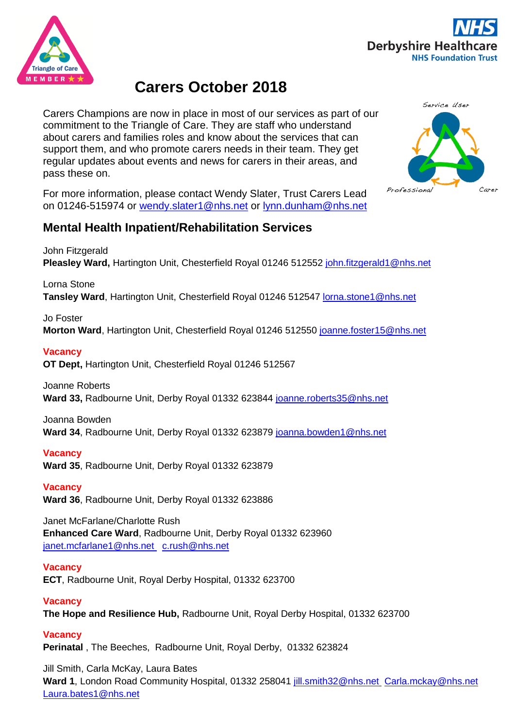



# **Carers October 2018**

Carers Champions are now in place in most of our services as part of our commitment to the Triangle of Care. They are staff who understand about carers and families roles and know about the services that can support them, and who promote carers needs in their team. They get regular updates about events and news for carers in their areas, and pass these on.

For more information, please contact Wendy Slater, Trust Carers Lead on 01246-515974 or [wendy.slater1@nhs.net](mailto:wendy.slater1@nhs.net) or [lynn.dunham@nhs.net](mailto:lynn.dunham@nhs.net)

# **Mental Health Inpatient/Rehabilitation Services**

John Fitzgerald

**Pleasley Ward,** Hartington Unit, Chesterfield Royal 01246 512552 [john.fitzgerald1@nhs.net](mailto:john.fitzgerald1@nhs.net)

Lorna Stone

**Tansley Ward**, Hartington Unit, Chesterfield Royal 01246 512547 [lorna.stone1@nhs.net](mailto:lorna.stone1@nhs.net)

### Jo Foster

**Morton Ward**, Hartington Unit, Chesterfield Royal 01246 512550 [joanne.foster15@nhs.net](mailto:joanne.foster15@nhs.net)

### **Vacancy**

**OT Dept,** Hartington Unit, Chesterfield Royal 01246 512567

### Joanne Roberts

**Ward 33,** Radbourne Unit, Derby Royal 01332 623844 [joanne.roberts35@nhs.net](mailto:joanne.roberts35@nhs.net)

### Joanna Bowden

**Ward 34**, Radbourne Unit, Derby Royal 01332 623879 [joanna.bowden1@nhs.net](mailto:joanna.bowden1@nhs.net)

### **Vacancy**

**Ward 35**, Radbourne Unit, Derby Royal 01332 623879

### **Vacancy**

**Ward 36**, Radbourne Unit, Derby Royal 01332 623886

Janet McFarlane/Charlotte Rush **Enhanced Care Ward**, Radbourne Unit, Derby Royal 01332 623960 [janet.mcfarlane1@nhs.net](mailto:janet.mcfarlane1@nhs.net) c.rush@nhs.net

### **Vacancy**

**ECT**, Radbourne Unit, Royal Derby Hospital, 01332 623700

### **Vacancy**

**The Hope and Resilience Hub,** Radbourne Unit, Royal Derby Hospital, 01332 623700

### **Vacancy**

**Perinatal** , The Beeches, Radbourne Unit, Royal Derby, 01332 623824

Jill Smith, Carla McKay, Laura Bates **Ward 1**, London Road Community Hospital, 01332 258041 [jill.smith32@nhs.net](mailto:jill.smith32@nhs.net) Carla.mckay@nhs.net Laura.bates1@nhs.net

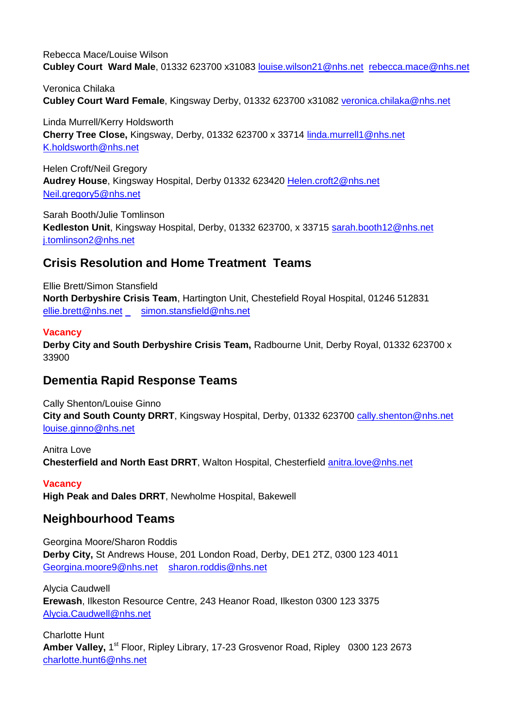Rebecca Mace/Louise Wilson **Cubley Court Ward Male**, 01332 623700 x31083 [louise.wilson21@nhs.net](mailto:louise.wilson21@nhs.net) [rebecca.mace@nhs.net](mailto:rebecca.mace@nhs.net)

Veronica Chilaka **Cubley Court Ward Female**, Kingsway Derby, 01332 623700 x31082 veronica.chilaka@nhs.net

Linda Murrell/Kerry Holdsworth **Cherry Tree Close,** Kingsway, Derby, 01332 623700 x 33714 [linda.murrell1@nhs.net](mailto:linda.murrell1@nhs.net) [K.holdsworth@nhs.net](mailto:K.holdsworth@nhs.net)

Helen Croft/Neil Gregory **Audrey House**, Kingsway Hospital, Derby 01332 623420 [Helen.croft2@nhs.net](mailto:Helen.croft2@nhs.net) [Neil.gregory5@nhs.net](mailto:Neil.gregory5@nhs.net)

Sarah Booth/Julie Tomlinson **Kedleston Unit**, Kingsway Hospital, Derby, 01332 623700, x 33715 [sarah.booth12@nhs.net](mailto:sarah.booth12@nhs.net) [j.tomlinson2@nhs.net](mailto:j.tomlinson2@nhs.net)

# **Crisis Resolution and Home Treatment Teams**

Ellie Brett/Simon Stansfield **North Derbyshire Crisis Team**, Hartington Unit, Chestefield Royal Hospital, 01246 512831 [ellie.brett@nhs.net](mailto:ellie.brett@nhs.net) simon.stansfield@nhs.net

#### **Vacancy**

**Derby City and South Derbyshire Crisis Team, Radbourne Unit, Derby Royal, 01332 623700 x** 33900

### **Dementia Rapid Response Teams**

Cally Shenton/Louise Ginno **City and South County DRRT**, Kingsway Hospital, Derby, 01332 623700 [cally.shenton@nhs.net](mailto:cally.shenton@nhs.net) [louise.ginno@nhs.net](mailto:louise.ginno@nhs.net)

Anitra Love **Chesterfield and North East DRRT**, Walton Hospital, Chesterfield [anitra.love@nhs.net](mailto:anitra.love@nhs.net)

**Vacancy High Peak and Dales DRRT**, Newholme Hospital, Bakewell

# **Neighbourhood Teams**

Georgina Moore/Sharon Roddis **Derby City,** St Andrews House, 201 London Road, Derby, DE1 2TZ, 0300 123 4011 [Georgina.moore9@nhs.net](mailto:Georgina.moore9@nhs.net) [sharon.roddis@nhs.net](mailto:sharon.roddis@nhs.net)

Alycia Caudwell **Erewash**, Ilkeston Resource Centre, 243 Heanor Road, Ilkeston 0300 123 3375 [Alycia.Caudwell@nhs.net](mailto:Alycia.Caudwell@nhs.net)

Charlotte Hunt Amber Valley, 1<sup>st</sup> Floor, Ripley Library, 17-23 Grosvenor Road, Ripley 0300 123 2673 [charlotte.hunt6@nhs.net](mailto:charlotte.hunt6@nhs.net)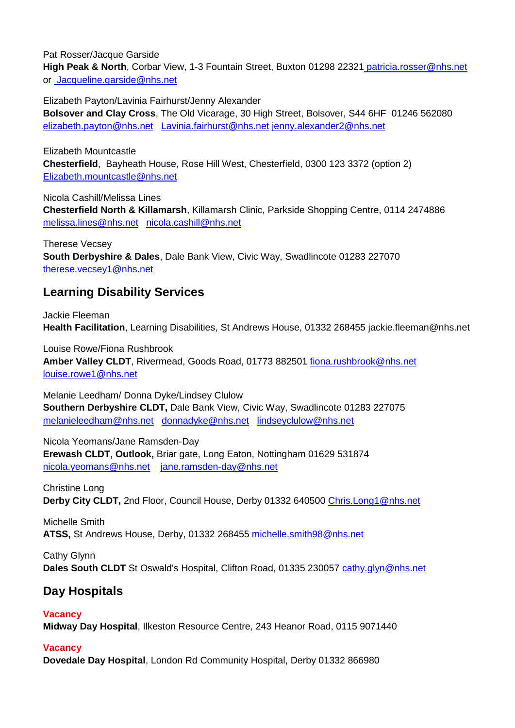Pat Rosser/Jacque Garside

**High Peak & North**, Corbar View, 1-3 Fountain Street, Buxton 01298 22321 [patricia.rosser@nhs.net](mailto:patricia.rosser@nhs.net) or Jacqueline.garside@nhs.net

Elizabeth Payton/Lavinia Fairhurst/Jenny Alexander **Bolsover and Clay Cross**, The Old Vicarage, 30 High Street, Bolsover, S44 6HF 01246 562080 [elizabeth.payton@nhs.net](mailto:elizabeth.payton@nhs.net) [Lavinia.fairhurst@nhs.net](mailto:Lavinia.fairhurst@nhs.net) [jenny.alexander2@nhs.net](mailto:jenny.alexander2@nhs.net)

Elizabeth Mountcastle **Chesterfield**, Bayheath House, Rose Hill West, Chesterfield, 0300 123 3372 (option 2) [Elizabeth.mountcastle@nhs.net](mailto:Elizabeth.mountcastle@nhs.net)

Nicola Cashill/Melissa Lines **Chesterfield North & Killamarsh**, Killamarsh Clinic, Parkside Shopping Centre, 0114 2474886 [melissa.lines@nhs.net](mailto:melissa.lines@nhs.net) [nicola.cashill@nhs.net](mailto:nicola.cashill@nhs.net)

Therese Vecsey **South Derbyshire & Dales**, Dale Bank View, Civic Way, Swadlincote 01283 227070 [therese.vecsey1@nhs.net](mailto:therese.vecsey1@nhs.net)

# **Learning Disability Services**

Jackie Fleeman **Health Facilitation**, Learning Disabilities, St Andrews House, 01332 268455 jackie.fleeman@nhs.net

Louise Rowe/Fiona Rushbrook **Amber Valley CLDT**, Rivermead, Goods Road, 01773 882501 [fiona.rushbrook@nhs.net](mailto:fiona.rushbrook@nhs.net) [louise.rowe1@nhs.net](mailto:louise.rowe1@nhs.net)

Melanie Leedham/ Donna Dyke/Lindsey Clulow **Southern Derbyshire CLDT,** Dale Bank View, Civic Way, Swadlincote 01283 227075 [melanieleedham@nhs.net](mailto:melanieleedham@nhs.net) [donnadyke@nhs.net](mailto:donnadyke@nhs.net) [lindseyclulow@nhs.net](mailto:lindseyclulow@nhs.net)

Nicola Yeomans/Jane Ramsden-Day **Erewash CLDT, Outlook,** Briar gate, Long Eaton, Nottingham 01629 531874 [nicola.yeomans@nhs.net](mailto:nicola.yeomans@nhs.net) [jane.ramsden-day@nhs.net](mailto:jane.ramsden-day@nhs.net)

Christine Long **Derby City CLDT,** 2nd Floor, Council House, Derby 01332 640500 [Chris.Long1@nhs.net](mailto:Chris.Long1@nhs.net)

Michelle Smith **ATSS,** St Andrews House, Derby, 01332 268455 [michelle.smith98@nhs.net](mailto:michelle.smith98@nhs.net)

Cathy Glynn Dales South CLDT St Oswald's Hospital, Clifton Road, 01335 230057 [cathy.glyn@nhs.net](mailto:cathy.glyn@nhs.net)

# **Day Hospitals**

### **Vacancy**

**Midway Day Hospital**, Ilkeston Resource Centre, 243 Heanor Road, 0115 9071440

### **Vacancy**

**Dovedale Day Hospital**, London Rd Community Hospital, Derby 01332 866980